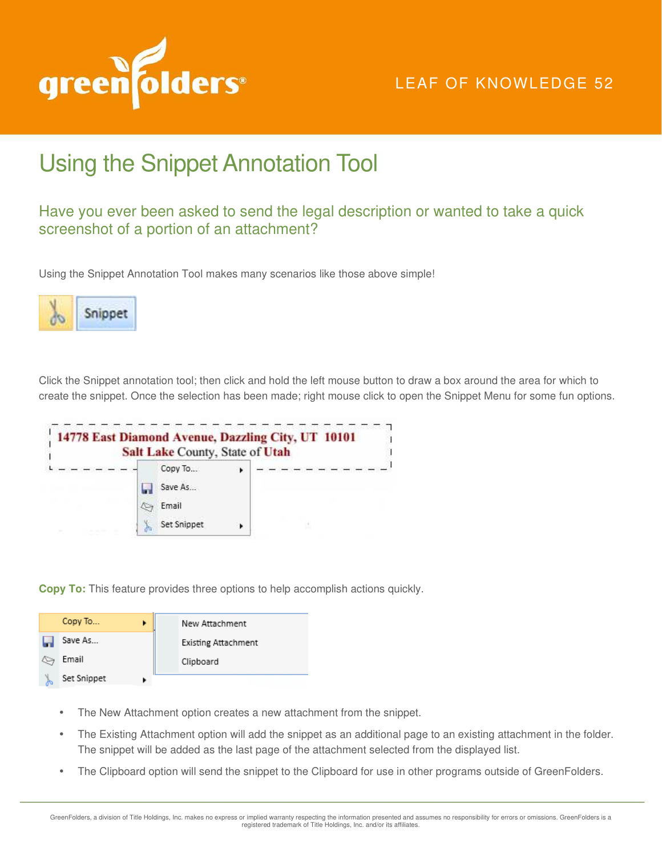

## LEAF OF KNOWLEDGE 52

## Using the Snippet Annotation Tool

## Have you ever been asked to send the legal description or wanted to take a quick screenshot of a portion of an attachment?

Using the Snippet Annotation Tool makes many scenarios like those above simple!



Click the Snippet annotation tool; then click and hold the left mouse button to draw a box around the area for which to create the snippet. Once the selection has been made; right mouse click to open the Snippet Menu for some fun options.



**Copy To:** This feature provides three options to help accomplish actions quickly.

|        | Copy To     | New Attachment             |
|--------|-------------|----------------------------|
|        | Save As     | <b>Existing Attachment</b> |
|        | Email       | Clipboard                  |
| 4<br>æ | Set Snippet |                            |

- The New Attachment option creates a new attachment from the snippet.
- The Existing Attachment option will add the snippet as an additional page to an existing attachment in the folder. The snippet will be added as the last page of the attachment selected from the displayed list.
- The Clipboard option will send the snippet to the Clipboard for use in other programs outside of GreenFolders.